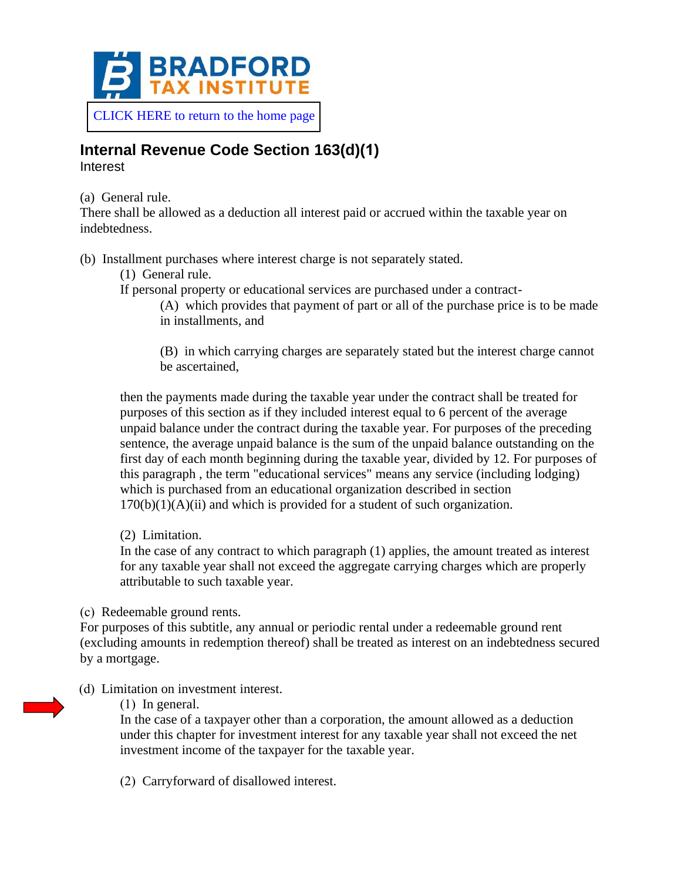

[CLICK HERE to return to the home page](https://www.bradfordtaxinstitute.com)

## **Internal Revenue Code Section 163(d)(1)**

Interest

(a) General rule.

There shall be allowed as a deduction all interest paid or accrued within the taxable year on indebtedness.

(b) Installment purchases where interest charge is not separately stated.

- (1) General rule.
- If personal property or educational services are purchased under a contract-

(A) which provides that payment of part or all of the purchase price is to be made in installments, and

(B) in which carrying charges are separately stated but the interest charge cannot be ascertained,

then the payments made during the taxable year under the contract shall be treated for purposes of this section as if they included interest equal to 6 percent of the average unpaid balance under the contract during the taxable year. For purposes of the preceding sentence, the average unpaid balance is the sum of the unpaid balance outstanding on the first day of each month beginning during the taxable year, divided by 12. For purposes of this paragraph , the term "educational services" means any service (including lodging) which is purchased from an educational organization described in section  $170(b)(1)(A)(ii)$  and which is provided for a student of such organization.

(2) Limitation.

In the case of any contract to which paragraph (1) applies, the amount treated as interest for any taxable year shall not exceed the aggregate carrying charges which are properly attributable to such taxable year.

(c) Redeemable ground rents.

For purposes of this subtitle, any annual or periodic rental under a redeemable ground rent (excluding amounts in redemption thereof) shall be treated as interest on an indebtedness secured by a mortgage.

(d) Limitation on investment interest.

(1) In general.

In the case of a taxpayer other than a corporation, the amount allowed as a deduction under this chapter for investment interest for any taxable year shall not exceed the net investment income of the taxpayer for the taxable year.

(2) Carryforward of disallowed interest.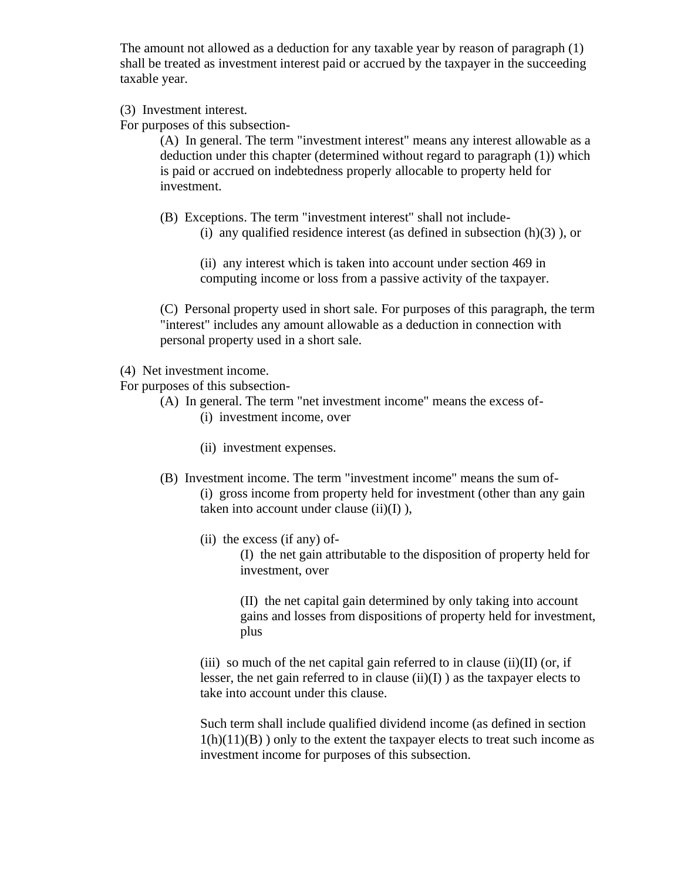The amount not allowed as a deduction for any taxable year by reason of paragraph (1) shall be treated as investment interest paid or accrued by the taxpayer in the succeeding taxable year.

(3) Investment interest.

For purposes of this subsection-

(A) In general. The term "investment interest" means any interest allowable as a deduction under this chapter (determined without regard to paragraph (1)) which is paid or accrued on indebtedness properly allocable to property held for investment.

(B) Exceptions. The term "investment interest" shall not include- (i) any qualified residence interest (as defined in subsection  $(h)(3)$ ), or

(ii) any interest which is taken into account under section 469 in computing income or loss from a passive activity of the taxpayer.

(C) Personal property used in short sale. For purposes of this paragraph, the term "interest" includes any amount allowable as a deduction in connection with personal property used in a short sale.

- (4) Net investment income.
- For purposes of this subsection-
	- (A) In general. The term "net investment income" means the excess of-
		- (i) investment income, over
		- (ii) investment expenses.
		- (B) Investment income. The term "investment income" means the sum of- (i) gross income from property held for investment (other than any gain taken into account under clause  $(ii)(I)$ ),
			- (ii) the excess (if any) of-

(I) the net gain attributable to the disposition of property held for investment, over

(II) the net capital gain determined by only taking into account gains and losses from dispositions of property held for investment, plus

(iii) so much of the net capital gain referred to in clause (ii)(II) (or, if lesser, the net gain referred to in clause  $(ii)(I)$  as the taxpayer elects to take into account under this clause.

Such term shall include qualified dividend income (as defined in section  $1(h)(11)(B)$ ) only to the extent the taxpayer elects to treat such income as investment income for purposes of this subsection.